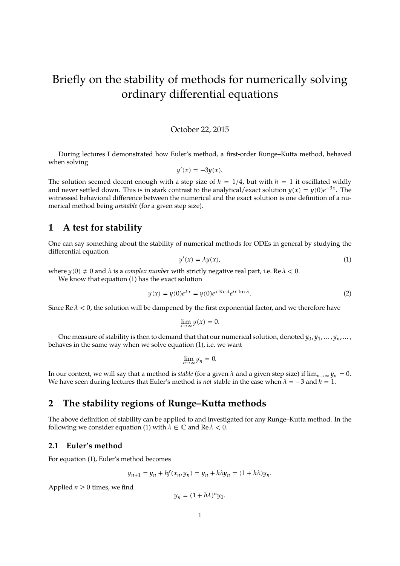# Briefly on the stability of methods for numerically solving ordinary differential equations

#### October 22, 2015

During lectures I demonstrated how Euler's method, a first-order Runge–Kutta method, behaved when solving

$$
y'(x) = -3y(x).
$$

The solution seemed decent enough with a step size of  $h = 1/4$ , but with  $h = 1$  it oscillated wildly and never settled down. This is in stark contrast to the analytical/exact solution  $y(x) = y(0)e^{-3x}$ . The witnessed behavioral difference between the numerical and the exact solution is one definition of a numerical method being *unstable* (for a given step size).

## **1 A test for stability**

One can say something about the stability of numerical methods for ODEs in general by studying the differential equation

<span id="page-0-0"></span>
$$
y'(x) = \lambda y(x), \tag{1}
$$

where  $y(0) \neq 0$  and  $\lambda$  is a *complex number* with strictly negative real part, i.e. Re  $\lambda < 0$ .

We know that equation [\(1\)](#page-0-0) has the exact solution

<span id="page-0-1"></span>
$$
y(x) = y(0)e^{\lambda x} = y(0)e^{x \operatorname{Re}\lambda}e^{ix \operatorname{Im}\lambda}.
$$
 (2)

Since  $\text{Re }\lambda < 0$ , the solution will be dampened by the first exponential factor, and we therefore have

$$
\lim_{x \to \infty} y(x) = 0.
$$

One measure of stability is then to demand that that our numerical solution, denoted  $y_0, y_1, \ldots, y_n, \ldots$ behaves in the same way when we solve equation [\(1\)](#page-0-0), i.e. we want

$$
\lim_{n\to\infty}y_n=0.
$$

In our context, we will say that a method is *stable* (for a given  $\lambda$  and a given step size) if  $\lim_{n\to\infty} y_n = 0$ . We have seen during lectures that Euler's method is *not* stable in the case when  $\lambda = -3$  and  $h = 1$ .

## **2 The stability regions of Runge–Kutta methods**

The above definition of stability can be applied to and investigated for any Runge–Kutta method. In the following we consider equation [\(1\)](#page-0-0) with  $\lambda \in \mathbb{C}$  and  $\text{Re}\,\lambda < 0$ .

## **2.1 Euler's method**

For equation [\(1\)](#page-0-0), Euler's method becomes

$$
y_{n+1} = y_n + hf(x_n, y_n) = y_n + h\lambda y_n = (1 + h\lambda)y_n.
$$

Applied  $n \geq 0$  times, we find

$$
y_n = (1 + h\lambda)^n y_0.
$$